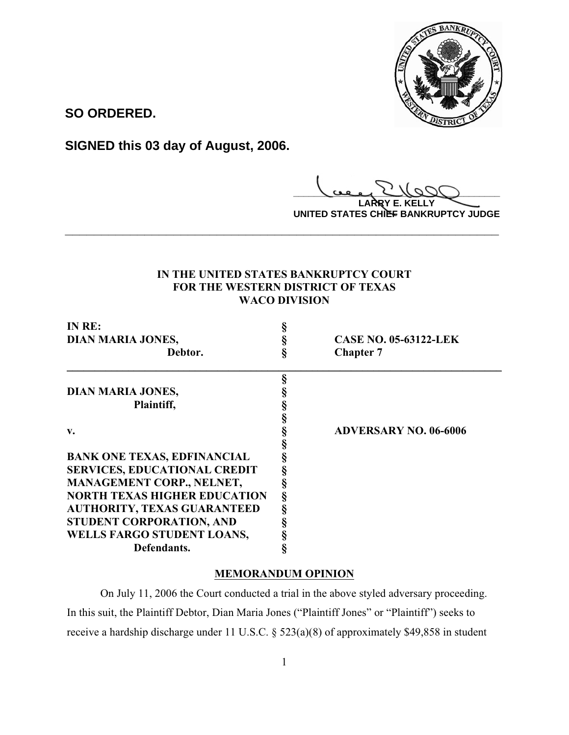

**SO ORDERED.**

**SIGNED this 03 day of August, 2006.**

**\_\_\_\_\_\_\_\_\_\_\_\_\_\_\_\_\_\_\_\_\_\_\_\_\_\_\_\_\_\_\_\_\_\_\_\_\_\_\_\_**

**LARRY E. KELLY UNITED STATES CHIEF BANKRUPTCY JUDGE**

# **IN THE UNITED STATES BANKRUPTCY COURT FOR THE WESTERN DISTRICT OF TEXAS WACO DIVISION**

**\_\_\_\_\_\_\_\_\_\_\_\_\_\_\_\_\_\_\_\_\_\_\_\_\_\_\_\_\_\_\_\_\_\_\_\_\_\_\_\_\_\_\_\_\_\_\_\_\_\_\_\_\_\_\_\_\_\_\_\_**

| IN RE:                              |   |                              |
|-------------------------------------|---|------------------------------|
| <b>DIAN MARIA JONES,</b>            |   | <b>CASE NO. 05-63122-LEK</b> |
| Debtor.                             |   | <b>Chapter 7</b>             |
|                                     |   |                              |
| <b>DIAN MARIA JONES,</b>            |   |                              |
| Plaintiff,                          |   |                              |
|                                     |   |                              |
| $\mathbf{v}$ .                      |   | <b>ADVERSARY NO. 06-6006</b> |
|                                     |   |                              |
| <b>BANK ONE TEXAS, EDFINANCIAL</b>  |   |                              |
| <b>SERVICES, EDUCATIONAL CREDIT</b> |   |                              |
| MANAGEMENT CORP., NELNET,           |   |                              |
| <b>NORTH TEXAS HIGHER EDUCATION</b> | ş |                              |
| <b>AUTHORITY, TEXAS GUARANTEED</b>  |   |                              |
| STUDENT CORPORATION, AND            |   |                              |
| WELLS FARGO STUDENT LOANS,          |   |                              |
| Defendants.                         |   |                              |

# **MEMORANDUM OPINION**

On July 11, 2006 the Court conducted a trial in the above styled adversary proceeding. In this suit, the Plaintiff Debtor, Dian Maria Jones ("Plaintiff Jones" or "Plaintiff") seeks to receive a hardship discharge under 11 U.S.C. § 523(a)(8) of approximately \$49,858 in student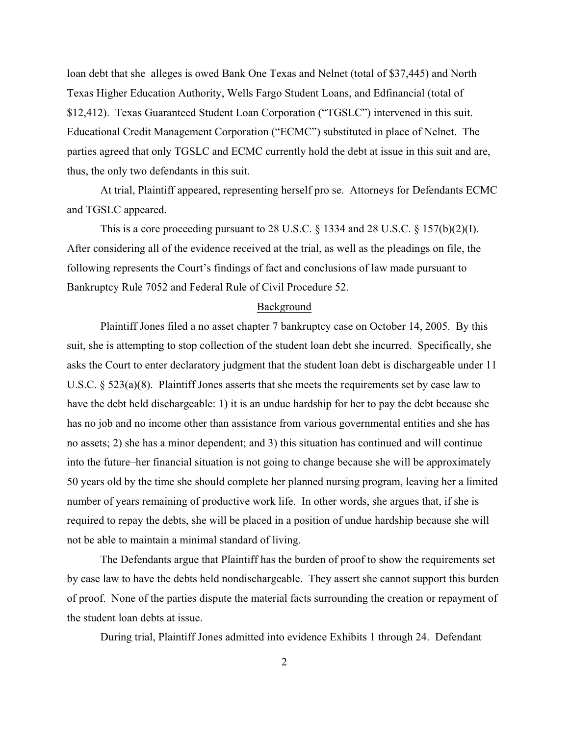loan debt that she alleges is owed Bank One Texas and Nelnet (total of \$37,445) and North Texas Higher Education Authority, Wells Fargo Student Loans, and Edfinancial (total of \$12,412). Texas Guaranteed Student Loan Corporation ("TGSLC") intervened in this suit. Educational Credit Management Corporation ("ECMC") substituted in place of Nelnet. The parties agreed that only TGSLC and ECMC currently hold the debt at issue in this suit and are, thus, the only two defendants in this suit.

At trial, Plaintiff appeared, representing herself pro se. Attorneys for Defendants ECMC and TGSLC appeared.

This is a core proceeding pursuant to 28 U.S.C.  $\S$  1334 and 28 U.S.C.  $\S$  157(b)(2)(I). After considering all of the evidence received at the trial, as well as the pleadings on file, the following represents the Court's findings of fact and conclusions of law made pursuant to Bankruptcy Rule 7052 and Federal Rule of Civil Procedure 52.

#### Background

Plaintiff Jones filed a no asset chapter 7 bankruptcy case on October 14, 2005. By this suit, she is attempting to stop collection of the student loan debt she incurred. Specifically, she asks the Court to enter declaratory judgment that the student loan debt is dischargeable under 11 U.S.C.  $\S 523(a)(8)$ . Plaintiff Jones asserts that she meets the requirements set by case law to have the debt held dischargeable: 1) it is an undue hardship for her to pay the debt because she has no job and no income other than assistance from various governmental entities and she has no assets; 2) she has a minor dependent; and 3) this situation has continued and will continue into the future–her financial situation is not going to change because she will be approximately 50 years old by the time she should complete her planned nursing program, leaving her a limited number of years remaining of productive work life. In other words, she argues that, if she is required to repay the debts, she will be placed in a position of undue hardship because she will not be able to maintain a minimal standard of living.

The Defendants argue that Plaintiff has the burden of proof to show the requirements set by case law to have the debts held nondischargeable. They assert she cannot support this burden of proof. None of the parties dispute the material facts surrounding the creation or repayment of the student loan debts at issue.

During trial, Plaintiff Jones admitted into evidence Exhibits 1 through 24. Defendant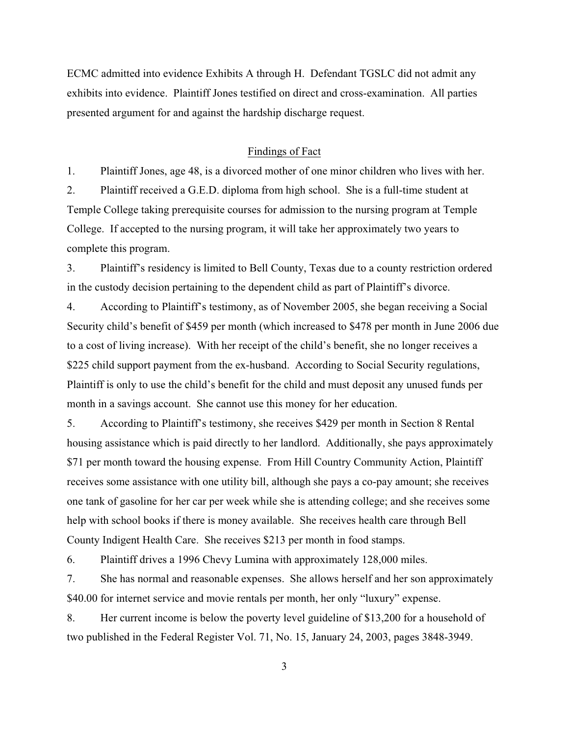ECMC admitted into evidence Exhibits A through H. Defendant TGSLC did not admit any exhibits into evidence. Plaintiff Jones testified on direct and cross-examination. All parties presented argument for and against the hardship discharge request.

## Findings of Fact

1. Plaintiff Jones, age 48, is a divorced mother of one minor children who lives with her.

2. Plaintiff received a G.E.D. diploma from high school. She is a full-time student at Temple College taking prerequisite courses for admission to the nursing program at Temple College. If accepted to the nursing program, it will take her approximately two years to complete this program.

3. Plaintiff's residency is limited to Bell County, Texas due to a county restriction ordered in the custody decision pertaining to the dependent child as part of Plaintiff's divorce.

4. According to Plaintiff's testimony, as of November 2005, she began receiving a Social Security child's benefit of \$459 per month (which increased to \$478 per month in June 2006 due to a cost of living increase). With her receipt of the child's benefit, she no longer receives a \$225 child support payment from the ex-husband. According to Social Security regulations, Plaintiff is only to use the child's benefit for the child and must deposit any unused funds per month in a savings account. She cannot use this money for her education.

5. According to Plaintiff's testimony, she receives \$429 per month in Section 8 Rental housing assistance which is paid directly to her landlord. Additionally, she pays approximately \$71 per month toward the housing expense. From Hill Country Community Action, Plaintiff receives some assistance with one utility bill, although she pays a co-pay amount; she receives one tank of gasoline for her car per week while she is attending college; and she receives some help with school books if there is money available. She receives health care through Bell County Indigent Health Care. She receives \$213 per month in food stamps.

6. Plaintiff drives a 1996 Chevy Lumina with approximately 128,000 miles.

7. She has normal and reasonable expenses. She allows herself and her son approximately \$40.00 for internet service and movie rentals per month, her only "luxury" expense.

8. Her current income is below the poverty level guideline of \$13,200 for a household of two published in the Federal Register Vol. 71, No. 15, January 24, 2003, pages 3848-3949.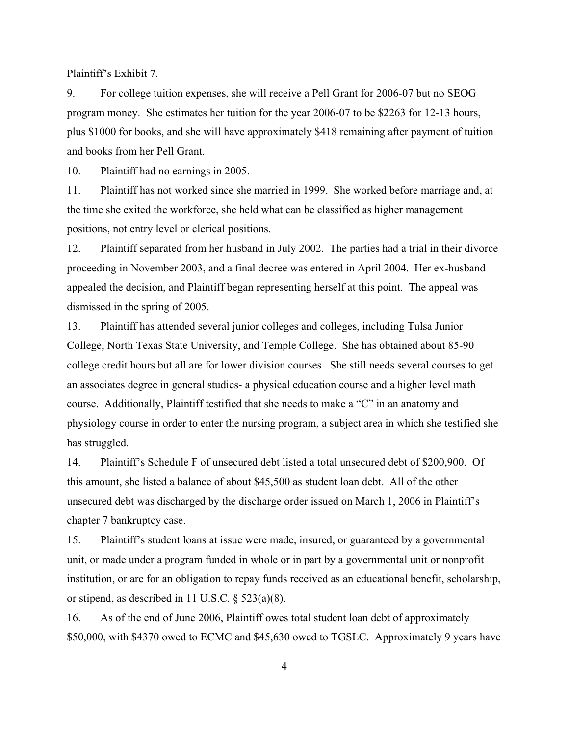Plaintiff's Exhibit 7.

9. For college tuition expenses, she will receive a Pell Grant for 2006-07 but no SEOG program money. She estimates her tuition for the year 2006-07 to be \$2263 for 12-13 hours, plus \$1000 for books, and she will have approximately \$418 remaining after payment of tuition and books from her Pell Grant.

10. Plaintiff had no earnings in 2005.

11. Plaintiff has not worked since she married in 1999. She worked before marriage and, at the time she exited the workforce, she held what can be classified as higher management positions, not entry level or clerical positions.

12. Plaintiff separated from her husband in July 2002. The parties had a trial in their divorce proceeding in November 2003, and a final decree was entered in April 2004. Her ex-husband appealed the decision, and Plaintiff began representing herself at this point. The appeal was dismissed in the spring of 2005.

13. Plaintiff has attended several junior colleges and colleges, including Tulsa Junior College, North Texas State University, and Temple College. She has obtained about 85-90 college credit hours but all are for lower division courses. She still needs several courses to get an associates degree in general studies- a physical education course and a higher level math course. Additionally, Plaintiff testified that she needs to make a "C" in an anatomy and physiology course in order to enter the nursing program, a subject area in which she testified she has struggled.

14. Plaintiff's Schedule F of unsecured debt listed a total unsecured debt of \$200,900. Of this amount, she listed a balance of about \$45,500 as student loan debt. All of the other unsecured debt was discharged by the discharge order issued on March 1, 2006 in Plaintiff's chapter 7 bankruptcy case.

15. Plaintiff's student loans at issue were made, insured, or guaranteed by a governmental unit, or made under a program funded in whole or in part by a governmental unit or nonprofit institution, or are for an obligation to repay funds received as an educational benefit, scholarship, or stipend, as described in 11 U.S.C. § 523(a)(8).

16. As of the end of June 2006, Plaintiff owes total student loan debt of approximately \$50,000, with \$4370 owed to ECMC and \$45,630 owed to TGSLC. Approximately 9 years have

4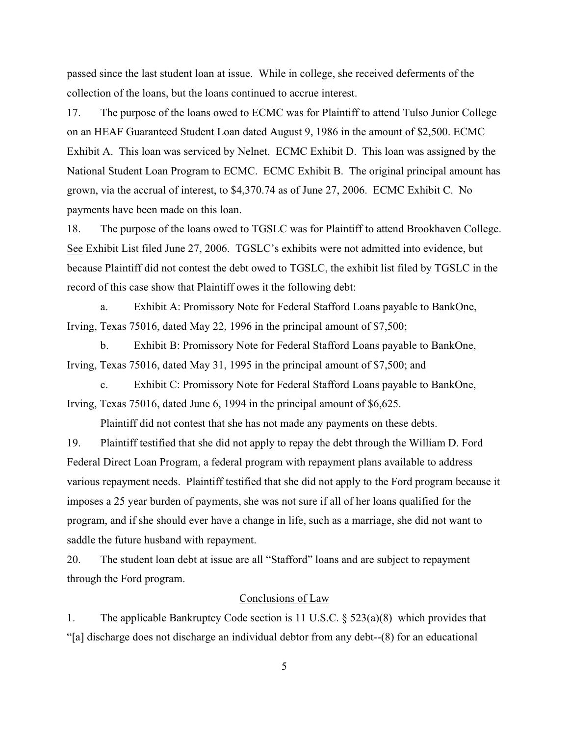passed since the last student loan at issue. While in college, she received deferments of the collection of the loans, but the loans continued to accrue interest.

17. The purpose of the loans owed to ECMC was for Plaintiff to attend Tulso Junior College on an HEAF Guaranteed Student Loan dated August 9, 1986 in the amount of \$2,500. ECMC Exhibit A. This loan was serviced by Nelnet. ECMC Exhibit D. This loan was assigned by the National Student Loan Program to ECMC. ECMC Exhibit B. The original principal amount has grown, via the accrual of interest, to \$4,370.74 as of June 27, 2006. ECMC Exhibit C. No payments have been made on this loan.

18. The purpose of the loans owed to TGSLC was for Plaintiff to attend Brookhaven College. See Exhibit List filed June 27, 2006. TGSLC's exhibits were not admitted into evidence, but because Plaintiff did not contest the debt owed to TGSLC, the exhibit list filed by TGSLC in the record of this case show that Plaintiff owes it the following debt:

a. Exhibit A: Promissory Note for Federal Stafford Loans payable to BankOne, Irving, Texas 75016, dated May 22, 1996 in the principal amount of \$7,500;

b. Exhibit B: Promissory Note for Federal Stafford Loans payable to BankOne, Irving, Texas 75016, dated May 31, 1995 in the principal amount of \$7,500; and

c. Exhibit C: Promissory Note for Federal Stafford Loans payable to BankOne, Irving, Texas 75016, dated June 6, 1994 in the principal amount of \$6,625.

Plaintiff did not contest that she has not made any payments on these debts.

19. Plaintiff testified that she did not apply to repay the debt through the William D. Ford Federal Direct Loan Program, a federal program with repayment plans available to address various repayment needs. Plaintiff testified that she did not apply to the Ford program because it imposes a 25 year burden of payments, she was not sure if all of her loans qualified for the program, and if she should ever have a change in life, such as a marriage, she did not want to saddle the future husband with repayment.

20. The student loan debt at issue are all "Stafford" loans and are subject to repayment through the Ford program.

#### Conclusions of Law

1. The applicable Bankruptcy Code section is 11 U.S.C. § 523(a)(8) which provides that "[a] discharge does not discharge an individual debtor from any debt--(8) for an educational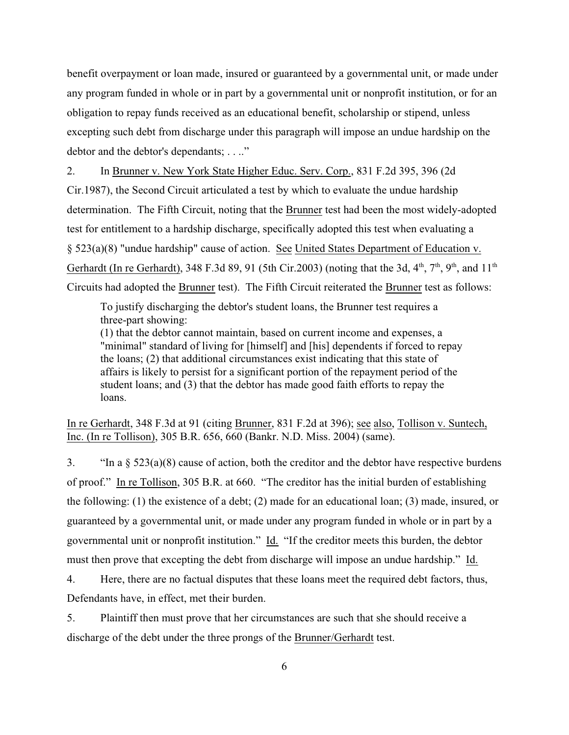benefit overpayment or loan made, insured or guaranteed by a governmental unit, or made under any program funded in whole or in part by a governmental unit or nonprofit institution, or for an obligation to repay funds received as an educational benefit, scholarship or stipend, unless excepting such debt from discharge under this paragraph will impose an undue hardship on the debtor and the debtor's dependants; . . .."

2. In Brunner v. New York State Higher Educ. Serv. Corp., 831 F.2d 395, 396 (2d Cir.1987), the Second Circuit articulated a test by which to evaluate the undue hardship determination. The Fifth Circuit, noting that the Brunner test had been the most widely-adopted test for entitlement to a hardship discharge, specifically adopted this test when evaluating a § 523(a)(8) "undue hardship" cause of action. See United States Department of Education v. Gerhardt (In re Gerhardt), 348 F.3d 89, 91 (5th Cir.2003) (noting that the 3d,  $4^{\text{th}}$ ,  $7^{\text{th}}$ ,  $9^{\text{th}}$ , and  $11^{\text{th}}$ Circuits had adopted the Brunner test). The Fifth Circuit reiterated the Brunner test as follows:

To justify discharging the debtor's student loans, the Brunner test requires a three-part showing:

(1) that the debtor cannot maintain, based on current income and expenses, a "minimal" standard of living for [himself] and [his] dependents if forced to repay the loans; (2) that additional circumstances exist indicating that this state of affairs is likely to persist for a significant portion of the repayment period of the student loans; and (3) that the debtor has made good faith efforts to repay the loans.

In re Gerhardt, 348 F.3d at 91 (citing Brunner, 831 F.2d at 396); see also, Tollison v. Suntech, Inc. (In re Tollison), 305 B.R. 656, 660 (Bankr. N.D. Miss. 2004) (same).

3. "In a  $\S 523(a)(8)$  cause of action, both the creditor and the debtor have respective burdens of proof." In re Tollison, 305 B.R. at 660. "The creditor has the initial burden of establishing the following: (1) the existence of a debt; (2) made for an educational loan; (3) made, insured, or guaranteed by a governmental unit, or made under any program funded in whole or in part by a governmental unit or nonprofit institution." Id. "If the creditor meets this burden, the debtor must then prove that excepting the debt from discharge will impose an undue hardship." Id.

4. Here, there are no factual disputes that these loans meet the required debt factors, thus, Defendants have, in effect, met their burden.

5. Plaintiff then must prove that her circumstances are such that she should receive a discharge of the debt under the three prongs of the Brunner/Gerhardt test.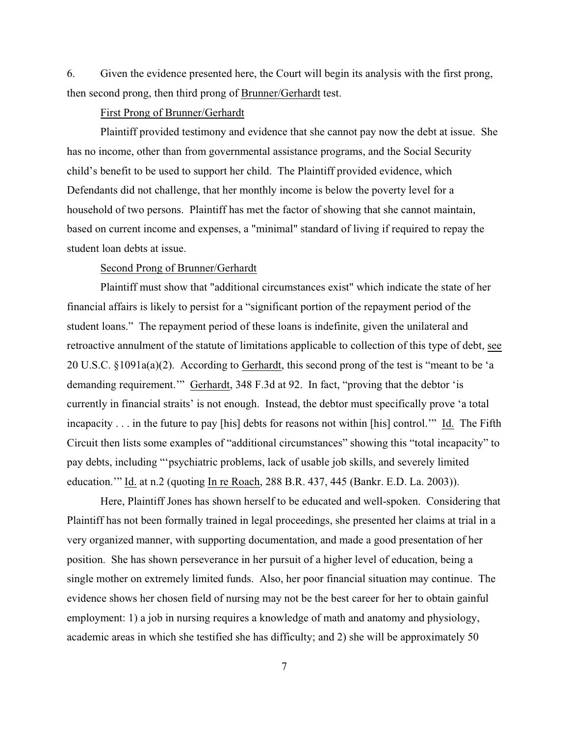6. Given the evidence presented here, the Court will begin its analysis with the first prong, then second prong, then third prong of Brunner/Gerhardt test.

### First Prong of Brunner/Gerhardt

Plaintiff provided testimony and evidence that she cannot pay now the debt at issue. She has no income, other than from governmental assistance programs, and the Social Security child's benefit to be used to support her child. The Plaintiff provided evidence, which Defendants did not challenge, that her monthly income is below the poverty level for a household of two persons. Plaintiff has met the factor of showing that she cannot maintain, based on current income and expenses, a "minimal" standard of living if required to repay the student loan debts at issue.

### Second Prong of Brunner/Gerhardt

Plaintiff must show that "additional circumstances exist" which indicate the state of her financial affairs is likely to persist for a "significant portion of the repayment period of the student loans." The repayment period of these loans is indefinite, given the unilateral and retroactive annulment of the statute of limitations applicable to collection of this type of debt, see 20 U.S.C. §1091a(a)(2). According to Gerhardt, this second prong of the test is "meant to be 'a demanding requirement." Gerhardt, 348 F.3d at 92. In fact, "proving that the debtor 'is currently in financial straits' is not enough. Instead, the debtor must specifically prove 'a total incapacity . . . in the future to pay [his] debts for reasons not within [his] control.'" Id. The Fifth Circuit then lists some examples of "additional circumstances" showing this "total incapacity" to pay debts, including "'psychiatric problems, lack of usable job skills, and severely limited education.'" Id. at n.2 (quoting In re Roach, 288 B.R. 437, 445 (Bankr. E.D. La. 2003)).

Here, Plaintiff Jones has shown herself to be educated and well-spoken. Considering that Plaintiff has not been formally trained in legal proceedings, she presented her claims at trial in a very organized manner, with supporting documentation, and made a good presentation of her position. She has shown perseverance in her pursuit of a higher level of education, being a single mother on extremely limited funds. Also, her poor financial situation may continue. The evidence shows her chosen field of nursing may not be the best career for her to obtain gainful employment: 1) a job in nursing requires a knowledge of math and anatomy and physiology, academic areas in which she testified she has difficulty; and 2) she will be approximately 50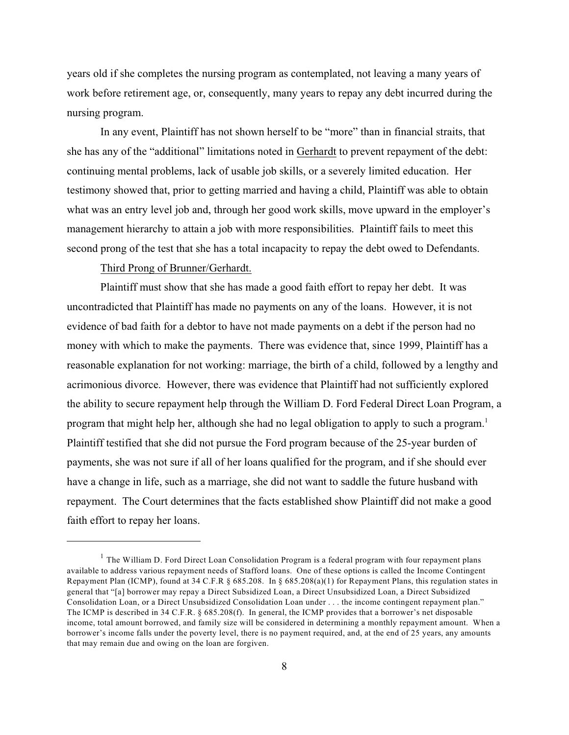years old if she completes the nursing program as contemplated, not leaving a many years of work before retirement age, or, consequently, many years to repay any debt incurred during the nursing program.

In any event, Plaintiff has not shown herself to be "more" than in financial straits, that she has any of the "additional" limitations noted in Gerhardt to prevent repayment of the debt: continuing mental problems, lack of usable job skills, or a severely limited education. Her testimony showed that, prior to getting married and having a child, Plaintiff was able to obtain what was an entry level job and, through her good work skills, move upward in the employer's management hierarchy to attain a job with more responsibilities. Plaintiff fails to meet this second prong of the test that she has a total incapacity to repay the debt owed to Defendants.

Third Prong of Brunner/Gerhardt.

Plaintiff must show that she has made a good faith effort to repay her debt. It was uncontradicted that Plaintiff has made no payments on any of the loans. However, it is not evidence of bad faith for a debtor to have not made payments on a debt if the person had no money with which to make the payments. There was evidence that, since 1999, Plaintiff has a reasonable explanation for not working: marriage, the birth of a child, followed by a lengthy and acrimonious divorce. However, there was evidence that Plaintiff had not sufficiently explored the ability to secure repayment help through the William D. Ford Federal Direct Loan Program, a program that might help her, although she had no legal obligation to apply to such a program.<sup>1</sup> Plaintiff testified that she did not pursue the Ford program because of the 25-year burden of payments, she was not sure if all of her loans qualified for the program, and if she should ever have a change in life, such as a marriage, she did not want to saddle the future husband with repayment. The Court determines that the facts established show Plaintiff did not make a good faith effort to repay her loans.

 $<sup>1</sup>$  The William D. Ford Direct Loan Consolidation Program is a federal program with four repayment plans</sup> available to address various repayment needs of Stafford loans. One of these options is called the Income Contingent Repayment Plan (ICMP), found at 34 C.F.R § 685.208. In § 685.208(a)(1) for Repayment Plans, this regulation states in general that "[a] borrower may repay a Direct Subsidized Loan, a Direct Unsubsidized Loan, a Direct Subsidized Consolidation Loan, or a Direct Unsubsidized Consolidation Loan under . . . the income contingent repayment plan." The ICMP is described in 34 C.F.R. § 685.208(f). In general, the ICMP provides that a borrower's net disposable income, total amount borrowed, and family size will be considered in determining a monthly repayment amount. When a borrower's income falls under the poverty level, there is no payment required, and, at the end of 25 years, any amounts that may remain due and owing on the loan are forgiven.